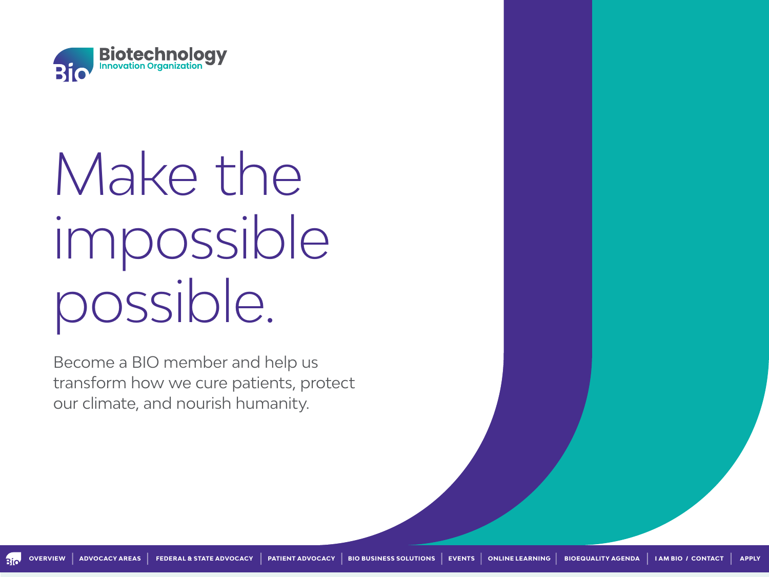

# Make the impossible possible.

Become a BIO member and help us transform how we cure patients, protect our climate, and nourish humanity.

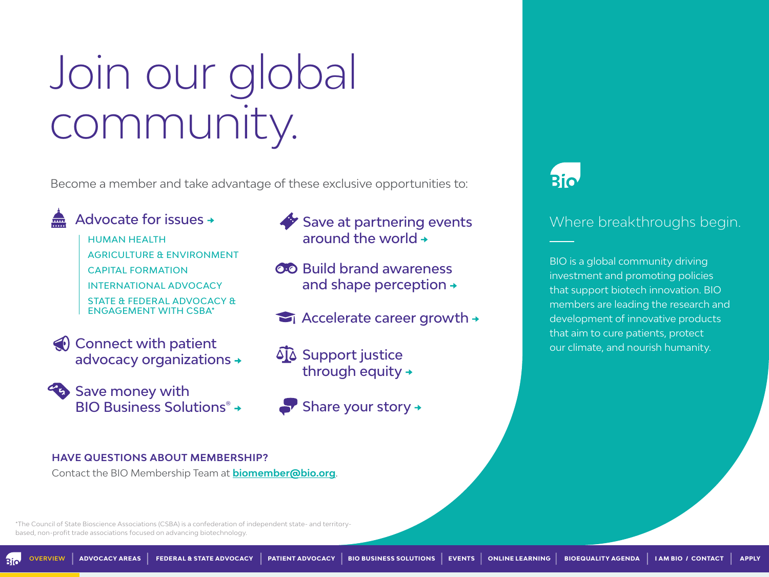# <span id="page-1-0"></span>Join our global community.

Become a member and take advantage of these exclusive opportunities to:



[Advocate for issues](#page-2-0) 

HUMAN HEALTH AGRICULTURE & ENVIRONMENT CAPITAL FORMATION INTERNATIONAL ADVOCACY

STATE & FEDERAL ADVOCACY & ENGAGEMENT WITH CSBA\*



**Save money with** BIO Business Solutions<sup>®</sup> +

- Save at partnering events around the world  $\rightarrow$
- **CO** Build brand awareness and shape perception +
- $\blacktriangleright$  [Accelerate career growth](#page-8-0)  $\rightarrow$
- **SIA** Support justice through equity  $\rightarrow$ 
	- [Share your story](#page-10-0)  $\rightarrow$

#### Where breakthroughs begin.

BIO is a global community driving investment and promoting policies that support biotech innovation. BIO members are leading the research and development of innovative products that aim to cure patients, protect our climate, and nourish humanity.

#### **HAVE QUESTIONS ABOUT MEMBERSHIP?**

Contact the BIO Membership Team at **[biomember@bio.org](mailto:biomember%40bio.org?subject=)**.

\*The Council of State Bioscience Associations (CSBA) is a confederation of independent state- and territorybased, non-profit trade associations focused on advancing biotechnology.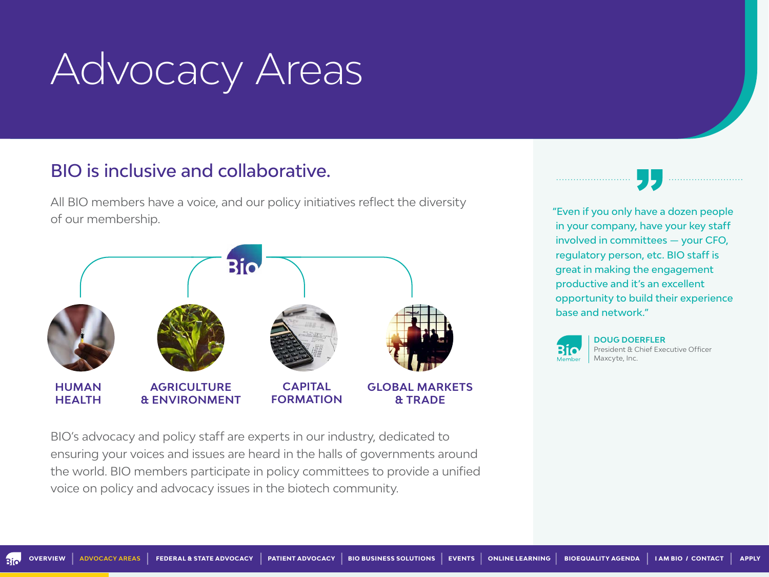# <span id="page-2-0"></span>Advocacy Areas

#### BIO is inclusive and collaborative.

All BIO members have a voice, and our policy initiatives reflect the diversity of our membership.



BIO's advocacy and policy staff are experts in our industry, dedicated to ensuring your voices and issues are heard in the halls of governments around the world. BIO members participate in policy committees to provide a unified voice on policy and advocacy issues in the biotech community.

"Even if you only have a dozen people in your company, have your key staff involved in committees — your CFO, regulatory person, etc. BIO staff is great in making the engagement productive and it's an excellent opportunity to build their experience base and network."



**DOUG DOERFLER** President & Chief Executive Officer Maxcyte, Inc.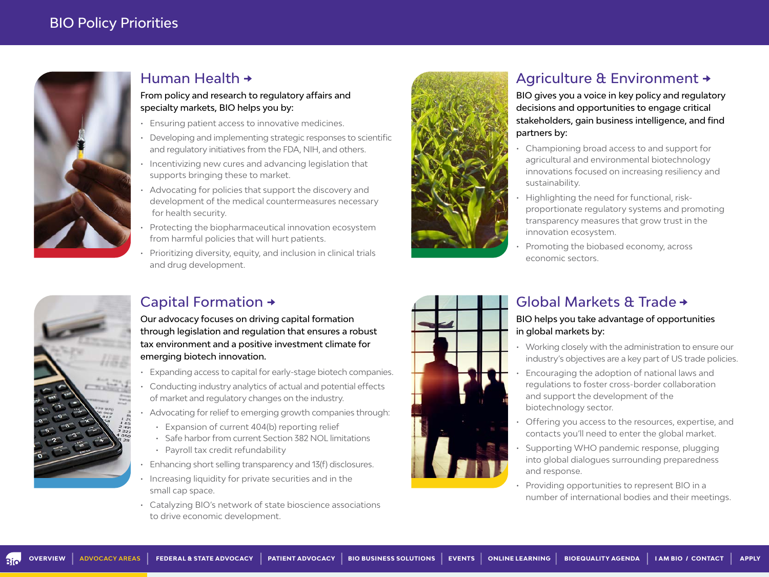

#### [Human Health](https://www.bio.org/member-benefits-sector-health)

#### From policy and research to regulatory affairs and specialty markets, BIO helps you by:

- Ensuring patient access to innovative medicines.
- Developing and implementing strategic responses to scientific and regulatory initiatives from the FDA, NIH, and others.
- Incentivizing new cures and advancing legislation that supports bringing these to market.
- Advocating for policies that support the discovery and development of the medical countermeasures necessary for health security.
- Protecting the biopharmaceutical innovation ecosystem from harmful policies that will hurt patients.
- Prioritizing diversity, equity, and inclusion in clinical trials and drug development.



#### [Agriculture & Environment](https://www.bio.org/member-benefits-sector-agriculture-environment) +

BIO gives you a voice in key policy and regulatory decisions and opportunities to engage critical stakeholders, gain business intelligence, and find partners by:

- Championing broad access to and support for agricultural and environmental biotechnology innovations focused on increasing resiliency and sustainability.
- Highlighting the need for functional, riskproportionate regulatory systems and promoting transparency measures that grow trust in the innovation ecosystem.
- Promoting the biobased economy, across economic sectors.



#### Capital Formation

Our advocacy focuses on driving capital formation through legislation and regulation that ensures a robust tax environment and a positive investment climate for emerging biotech innovation.

- Expanding access to capital for early-stage biotech companies.
- Conducting industry analytics of actual and potential effects of market and regulatory changes on the industry.
- Advocating for relief to emerging growth companies through:
- Expansion of current 404(b) reporting relief
- Safe harbor from current Section 382 NOL limitations
- Payroll tax credit refundability
- Enhancing short selling transparency and 13(f) disclosures.
- Increasing liquidity for private securities and in the small cap space.
- Catalyzing BIO's network of state bioscience associations to drive economic development.



#### [Global Markets & Trade](https://www.bio.org/policy/international)

#### BIO helps you take advantage of opportunities in global markets by:

- Working closely with the administration to ensure our industry's objectives are a key part of US trade policies.
- Encouraging the adoption of national laws and regulations to foster cross-border collaboration and support the development of the biotechnology sector.
- Offering you access to the resources, expertise, and contacts you'll need to enter the global market.
- Supporting WHO pandemic response, plugging into global dialogues surrounding preparedness and response.
- Providing opportunities to represent BIO in a number of international bodies and their meetings.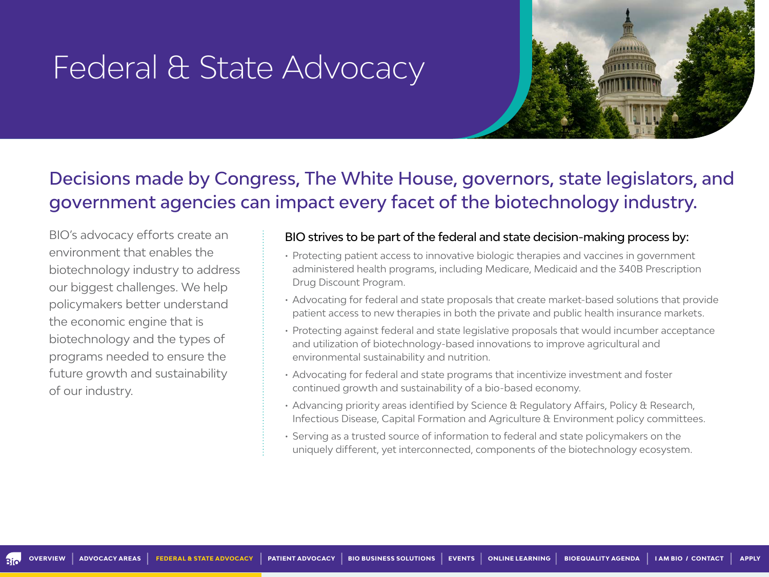### <span id="page-4-0"></span>Federal & State Advocacy



### Decisions made by Congress, The White House, governors, state legislators, and government agencies can impact every facet of the biotechnology industry.

BIO's advocacy efforts create an environment that enables the biotechnology industry to address our biggest challenges. We help policymakers better understand the economic engine that is biotechnology and the types of programs needed to ensure the future growth and sustainability of our industry.

#### BIO strives to be part of the federal and state decision-making process by:

- Protecting patient access to innovative biologic therapies and vaccines in government administered health programs, including Medicare, Medicaid and the 340B Prescription Drug Discount Program.
- Advocating for federal and state proposals that create market-based solutions that provide patient access to new therapies in both the private and public health insurance markets.
- Protecting against federal and state legislative proposals that would incumber acceptance and utilization of biotechnology-based innovations to improve agricultural and environmental sustainability and nutrition.
- Advocating for federal and state programs that incentivize investment and foster continued growth and sustainability of a bio-based economy.
- Advancing priority areas identified by Science & Regulatory Affairs, Policy & Research, Infectious Disease, Capital Formation and Agriculture & Environment policy committees.
- Serving as a trusted source of information to federal and state policymakers on the uniquely different, yet interconnected, components of the biotechnology ecosystem.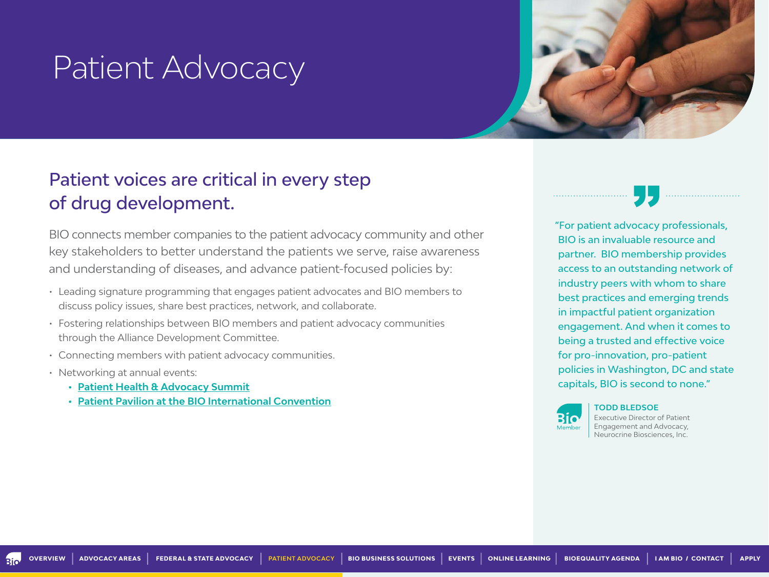### <span id="page-5-0"></span>Patient Advocacy

### Patient voices are critical in every step of drug development.

BIO connects member companies to the patient advocacy community and other key stakeholders to better understand the patients we serve, raise awareness and understanding of diseases, and advance patient-focused policies by:

- Leading signature programming that engages patient advocates and BIO members to discuss policy issues, share best practices, network, and collaborate.
- Fostering relationships between BIO members and patient advocacy communities through the Alliance Development Committee.
- Connecting members with patient advocacy communities.
- Networking at annual events:
	- **• [Patient Health & Advocacy Summit](https://www.bio.org/events/bio-patient-health-advocacy-summit)**
	- **• [Patient Pavilion at the BIO International Convention](https://convention.bio.org/)**

"For patient advocacy professionals, BIO is an invaluable resource and partner. BIO membership provides access to an outstanding network of industry peers with whom to share best practices and emerging trends in impactful patient organization engagement. And when it comes to being a trusted and effective voice for pro-innovation, pro-patient policies in Washington, DC and state capitals, BIO is second to none."



**TODD BLEDSOE** Executive Director of Patient Engagement and Advocacy, Neurocrine Biosciences, Inc.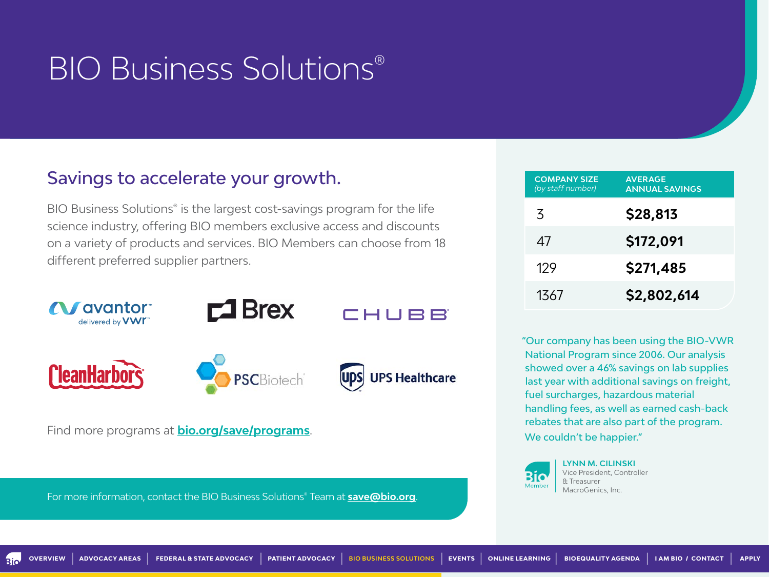### <span id="page-6-0"></span>[BIO Business Solutions®](http://bio.org/save)

#### Savings to accelerate your growth.

BIO Business Solutions® is the largest cost-savings program for the life science industry, offering BIO members exclusive access and discounts on a variety of products and services. BIO Members can choose from 18 different preferred supplier partners.



Find more programs at **[bio.org/save/programs](http://bio.org/save/programs)**.

For more information, contact the BIO Business Solutions® Team at **[save@bio.org](mailto:save%40bio.org?subject=)**.

| <b>COMPANY SIZE</b><br>(by staff number) | <b>AVERAGE</b><br><b>ANNUAL SAVINGS</b> |
|------------------------------------------|-----------------------------------------|
| $\mathcal{Z}$                            | \$28,813                                |
| 47                                       | \$172,091                               |
| 129                                      | \$271,485                               |
| 1367                                     | \$2,802,614                             |

"Our company has been using the BIO-VWR National Program since 2006. Our analysis showed over a 46% savings on lab supplies last year with additional savings on freight, fuel surcharges, hazardous material handling fees, as well as earned cash-back rebates that are also part of the program. We couldn't be happier."



**LYNN M. CILINSKI** Vice President, Controller & Treasurer MacroGenics, Inc.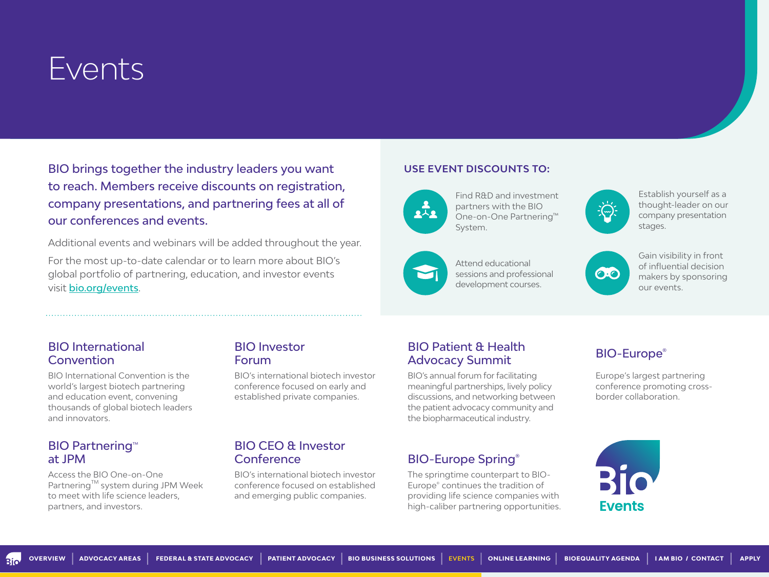### <span id="page-7-0"></span>Events

BIO brings together the industry leaders you want to reach. Members receive discounts on registration, company presentations, and partnering fees at all of our conferences and events.

Additional events and webinars will be added throughout the year.

For the most up-to-date calendar or to learn more about BIO's global portfolio of partnering, education, and investor events visit [bio.org/events](http://bio.org/events).

#### [BIO International](https://www.bio.org/events/bio-digital)  **Convention**

BIO International Convention is the world's largest biotech partnering and education event, convening thousands of global biotech leaders and innovators.

#### **BIO Partnering<sup>™</sup>** at JPM

Access the BIO One-on-One Partnering™ system during JPM Week to meet with life science leaders, partners, and investors.

#### [BIO Investor](https://www.bio.org/events/bio-investor-forum)  Forum

BIO's international biotech investor conference focused on early and established private companies.

#### [BIO CEO & Investor](https://www.bio.org/events/bio-ceo-investor-conference)  **Conference**

BIO's international biotech investor conference focused on established and emerging public companies.

#### **USE EVENT DISCOUNTS TO:**



Find R&D and investment partners with the BIO One-on-One Partnering™ System.



Establish yourself as a thought-leader on our company presentation stages.



Attend educational sessions and professional development courses.



Gain visibility in front of influential decision makers by sponsoring our events.

#### [BIO Patient & Health](https://www.bio.org/events/bio-patient-health-advocacy-digital-summit/registration)  [BIO-Europe®](https://informaconnect.com/bioeurope/)<br>Advocacy Summit BIO-Europe®

BIO's annual forum for facilitating meaningful partnerships, lively policy discussions, and networking between the patient advocacy community and the biopharmaceutical industry.

#### [BIO-Europe Spring®](https://informaconnect.com/bioeurope-spring/)

The springtime counterpart to BIO-Europe® continues the tradition of providing life science companies with high-caliber partnering opportunities.

Europe's largest partnering conference promoting crossborder collaboration.

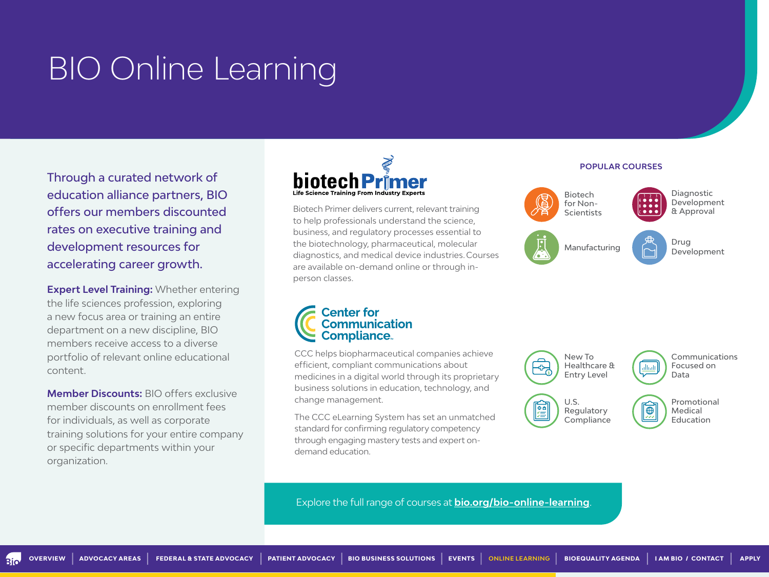### <span id="page-8-0"></span>[BIO Online Learning](http://bio.org/bio-online-learning)

Through a curated network of education alliance partners, BIO offers our members discounted rates on executive training and development resources for accelerating career growth.

**Expert Level Training:** Whether entering the life sciences profession, exploring a new focus area or training an entire department on a new discipline, BIO members receive access to a diverse portfolio of relevant online educational content.

**Member Discounts:** BIO offers exclusive member discounts on enrollment fees for individuals, as well as corporate training solutions for your entire company or specific departments within your organization.



Biotech Primer delivers current, relevant training to help professionals understand the science, business, and regulatory processes essential to the biotechnology, pharmaceutical, molecular diagnostics, and medical device industries. Courses are available on-demand online or through inperson classes.

#### **POPULAR COURSES**



## **Center for<br>Communication<br>Compliance**

CCC helps biopharmaceutical companies achieve efficient, compliant communications about medicines in a digital world through its proprietary business solutions in education, technology, and change management.

The CCC eLearning System has set an unmatched standard for confirming regulatory competency through engaging mastery tests and expert ondemand education.



Explore the full range of courses at **[bio.org/bio-online-learning](http://bio.org/bio-online-learning)**.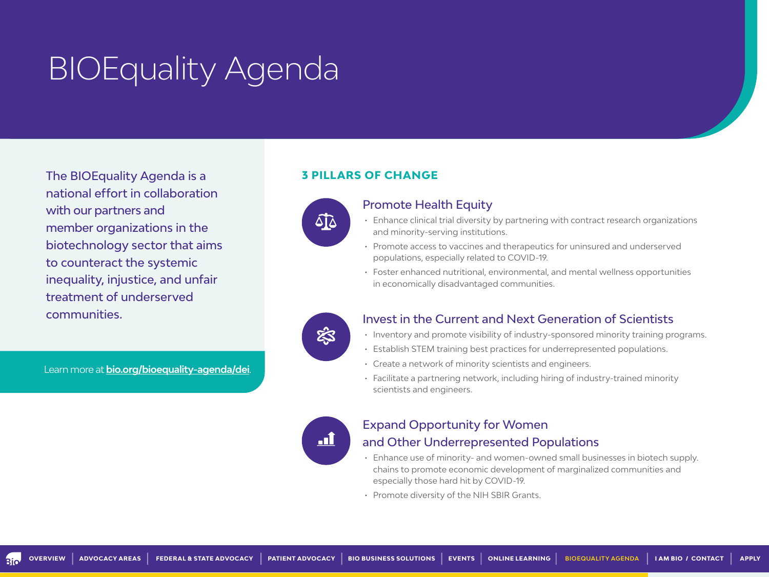## <span id="page-9-0"></span>BIOEquality Agenda

The BIOEquality Agenda is a national effort in collaboration with our partners and member organizations in the biotechnology sector that aims to counteract the systemic inequality, injustice, and unfair treatment of underserved communities.

Learn more at **[bio.org/bioequality-agenda/dei](http://bio.org/bioequality-agenda/dei)**.

#### **3 PILLARS OF CHANGE**



#### Promote Health Equity

- Enhance clinical trial diversity by partnering with contract research organizations and minority-serving institutions.
- Promote access to vaccines and therapeutics for uninsured and underserved populations, especially related to COVID-19.
- Foster enhanced nutritional, environmental, and mental wellness opportunities in economically disadvantaged communities.



#### Invest in the Current and Next Generation of Scientists

- Inventory and promote visibility of industry-sponsored minority training programs.
- Establish STEM training best practices for underrepresented populations.
- Create a network of minority scientists and engineers.
- Facilitate a partnering network, including hiring of industry-trained minority scientists and engineers.



#### Expand Opportunity for Women and Other Underrepresented Populations

- Enhance use of minority- and women-owned small businesses in biotech supply. chains to promote economic development of marginalized communities and especially those hard hit by COVID-19.
- Promote diversity of the NIH SBIR Grants.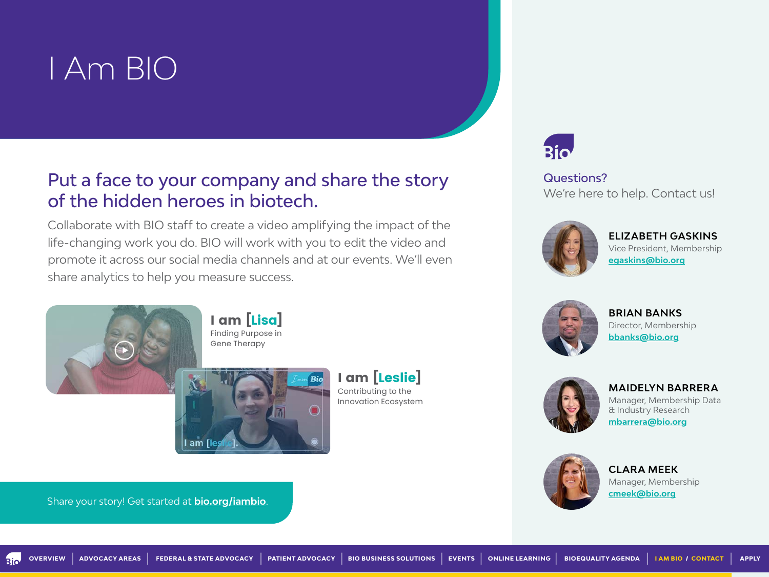### <span id="page-10-0"></span>[I Am BIO](http://bio.org/iambio)

#### Put a face to your company and share the story of the hidden heroes in biotech.

Collaborate with BIO staff to create a video amplifying the impact of the life-changing work you do. BIO will work with you to edit the video and promote it across our social media channels and at our events. We'll even share analytics to help you measure success.



I am [Lisa] Finding Purpose in



I am [Leslie] Contributing to the Innovation Ecosystem



Questions? We're here to help. Contact us!



**[ELIZABETH GASKINS](mailto:egaskins%40bio.org?subject=)** Vice President, Membership **[egaskins@bio.org](mailto:egaskins%40bio.org%20?subject=)**



**BRIAN BANKS** [Director, Membership](mailto:rmuthig%40bio.org?subject=) **bbank[s@bio.org](mailto:bbanks%40bio.org?subject=)**



**[MAIDELYN BARRERA](mailto:mbarrera%40bio.org?subject=)** Manager, Membership Data

& Industry Research **[mbarrera@bio.org](mailto:mbarrera%40bio.org?subject=)**



**CLARA MEEK** [Manager, Membership](mailto:cmeek%40bio.org?subject=) **[cmeek@bio.org](mailto:cmeek%40bio.org?subject=)**

Share your story! Get started at **bio.org/iambio**.